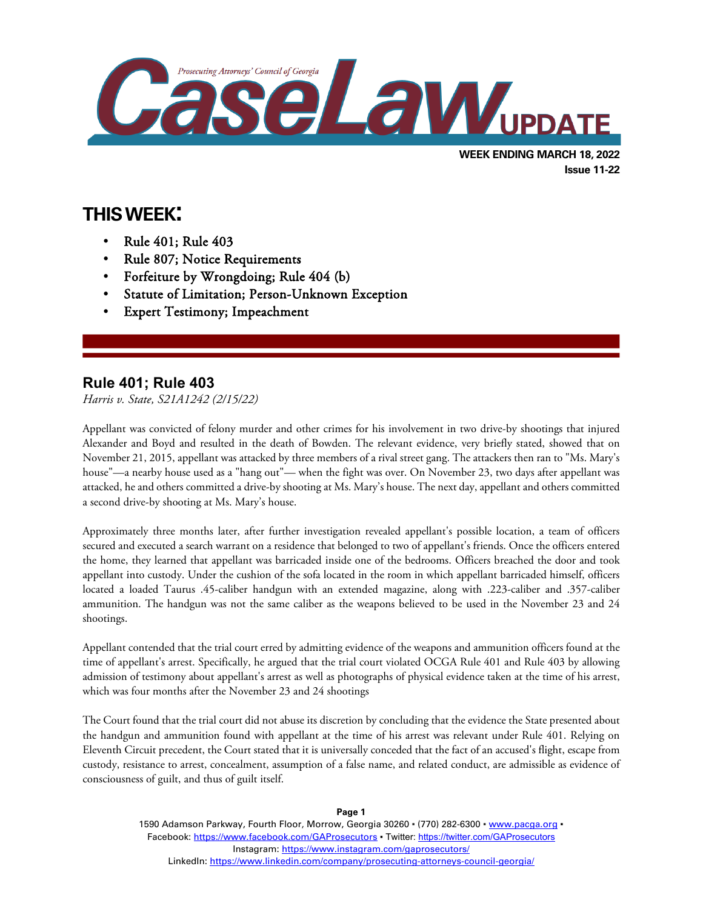

# **THIS WEEK:**

- Rule 401; Rule 403
- Rule 807; Notice Requirements
- Forfeiture by Wrongdoing; Rule 404 (b)
- Statute of Limitation; Person-Unknown Exception
- **Expert Testimony; Impeachment**

### **Rule 401; Rule 403**

 $\overline{a}$ 

*Harris v. State, S21A1242 (2/15/22)*

Appellant was convicted of felony murder and other crimes for his involvement in two drive-by shootings that injured Alexander and Boyd and resulted in the death of Bowden. The relevant evidence, very briefly stated, showed that on November 21, 2015, appellant was attacked by three members of a rival street gang. The attackers then ran to "Ms. Mary's house"—a nearby house used as a "hang out"— when the fight was over. On November 23, two days after appellant was attacked, he and others committed a drive-by shooting at Ms. Mary's house. The next day, appellant and others committed a second drive-by shooting at Ms. Mary's house.

Approximately three months later, after further investigation revealed appellant's possible location, a team of officers secured and executed a search warrant on a residence that belonged to two of appellant's friends. Once the officers entered the home, they learned that appellant was barricaded inside one of the bedrooms. Officers breached the door and took appellant into custody. Under the cushion of the sofa located in the room in which appellant barricaded himself, officers located a loaded Taurus .45-caliber handgun with an extended magazine, along with .223-caliber and .357-caliber ammunition. The handgun was not the same caliber as the weapons believed to be used in the November 23 and 24 shootings.

Appellant contended that the trial court erred by admitting evidence of the weapons and ammunition officers found at the time of appellant's arrest. Specifically, he argued that the trial court violated OCGA Rule 401 and Rule 403 by allowing admission of testimony about appellant's arrest as well as photographs of physical evidence taken at the time of his arrest, which was four months after the November 23 and 24 shootings

The Court found that the trial court did not abuse its discretion by concluding that the evidence the State presented about the handgun and ammunition found with appellant at the time of his arrest was relevant under Rule 401. Relying on Eleventh Circuit precedent, the Court stated that it is universally conceded that the fact of an accused's flight, escape from custody, resistance to arrest, concealment, assumption of a false name, and related conduct, are admissible as evidence of consciousness of guilt, and thus of guilt itself.

> 1590 Adamson Parkway, Fourth Floor, Morrow, Georgia 30260 · (770) 282-6300 · www.pacqa.org · Facebook:<https://www.facebook.com/GAProsecutors> . Twitter[: https://twitter.com/GAProsecutors](https://twitter.com/GAProsecutors) Instagram[: https://www.instagram.com/gaprosecutors/](https://www.instagram.com/gaprosecutors/) LinkedIn:<https://www.linkedin.com/company/prosecuting-attorneys-council-georgia/>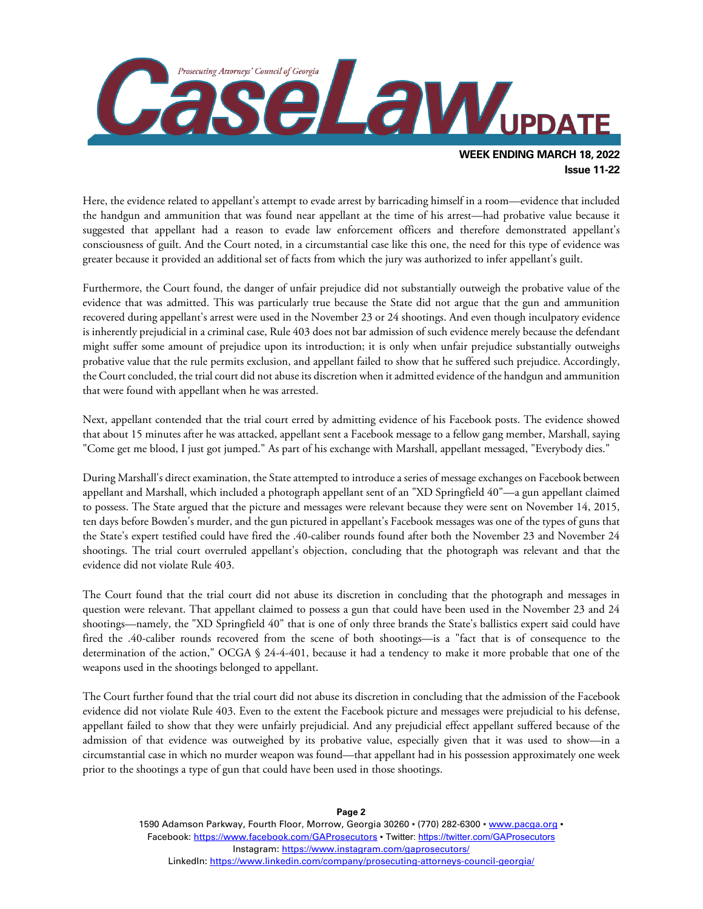

Here, the evidence related to appellant's attempt to evade arrest by barricading himself in a room—evidence that included the handgun and ammunition that was found near appellant at the time of his arrest—had probative value because it suggested that appellant had a reason to evade law enforcement officers and therefore demonstrated appellant's consciousness of guilt. And the Court noted, in a circumstantial case like this one, the need for this type of evidence was greater because it provided an additional set of facts from which the jury was authorized to infer appellant's guilt.

Furthermore, the Court found, the danger of unfair prejudice did not substantially outweigh the probative value of the evidence that was admitted. This was particularly true because the State did not argue that the gun and ammunition recovered during appellant's arrest were used in the November 23 or 24 shootings. And even though inculpatory evidence is inherently prejudicial in a criminal case, Rule 403 does not bar admission of such evidence merely because the defendant might suffer some amount of prejudice upon its introduction; it is only when unfair prejudice substantially outweighs probative value that the rule permits exclusion, and appellant failed to show that he suffered such prejudice. Accordingly, the Court concluded, the trial court did not abuse its discretion when it admitted evidence of the handgun and ammunition that were found with appellant when he was arrested.

Next, appellant contended that the trial court erred by admitting evidence of his Facebook posts. The evidence showed that about 15 minutes after he was attacked, appellant sent a Facebook message to a fellow gang member, Marshall, saying "Come get me blood, I just got jumped." As part of his exchange with Marshall, appellant messaged, "Everybody dies."

During Marshall's direct examination, the State attempted to introduce a series of message exchanges on Facebook between appellant and Marshall, which included a photograph appellant sent of an "XD Springfield 40"—a gun appellant claimed to possess. The State argued that the picture and messages were relevant because they were sent on November 14, 2015, ten days before Bowden's murder, and the gun pictured in appellant's Facebook messages was one of the types of guns that the State's expert testified could have fired the .40-caliber rounds found after both the November 23 and November 24 shootings. The trial court overruled appellant's objection, concluding that the photograph was relevant and that the evidence did not violate Rule 403.

The Court found that the trial court did not abuse its discretion in concluding that the photograph and messages in question were relevant. That appellant claimed to possess a gun that could have been used in the November 23 and 24 shootings—namely, the "XD Springfield 40" that is one of only three brands the State's ballistics expert said could have fired the .40-caliber rounds recovered from the scene of both shootings—is a "fact that is of consequence to the determination of the action," OCGA § 24-4-401, because it had a tendency to make it more probable that one of the weapons used in the shootings belonged to appellant.

The Court further found that the trial court did not abuse its discretion in concluding that the admission of the Facebook evidence did not violate Rule 403. Even to the extent the Facebook picture and messages were prejudicial to his defense, appellant failed to show that they were unfairly prejudicial. And any prejudicial effect appellant suffered because of the admission of that evidence was outweighed by its probative value, especially given that it was used to show—in a circumstantial case in which no murder weapon was found—that appellant had in his possession approximately one week prior to the shootings a type of gun that could have been used in those shootings.

> 1590 Adamson Parkway, Fourth Floor, Morrow, Georgia 30260 · (770) 282-6300 · [www.pacga.org](http://www.pacga.org/) · Facebook:<https://www.facebook.com/GAProsecutors> . Twitter[: https://twitter.com/GAProsecutors](https://twitter.com/GAProsecutors) Instagram[: https://www.instagram.com/gaprosecutors/](https://www.instagram.com/gaprosecutors/) LinkedIn:<https://www.linkedin.com/company/prosecuting-attorneys-council-georgia/>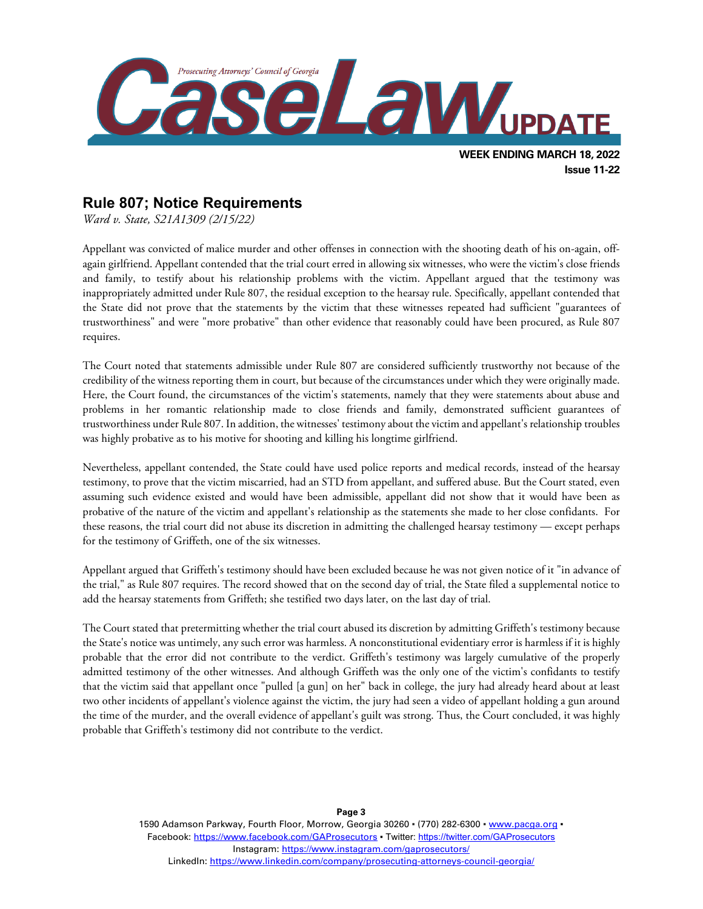

### **Rule 807; Notice Requirements**

*Ward v. State, S21A1309 (2/15/22)*

Appellant was convicted of malice murder and other offenses in connection with the shooting death of his on-again, offagain girlfriend. Appellant contended that the trial court erred in allowing six witnesses, who were the victim's close friends and family, to testify about his relationship problems with the victim. Appellant argued that the testimony was inappropriately admitted under Rule 807, the residual exception to the hearsay rule. Specifically, appellant contended that the State did not prove that the statements by the victim that these witnesses repeated had sufficient "guarantees of trustworthiness" and were "more probative" than other evidence that reasonably could have been procured, as Rule 807 requires.

The Court noted that statements admissible under Rule 807 are considered sufficiently trustworthy not because of the credibility of the witness reporting them in court, but because of the circumstances under which they were originally made. Here, the Court found, the circumstances of the victim's statements, namely that they were statements about abuse and problems in her romantic relationship made to close friends and family, demonstrated sufficient guarantees of trustworthiness under Rule 807. In addition, the witnesses' testimony about the victim and appellant's relationship troubles was highly probative as to his motive for shooting and killing his longtime girlfriend.

Nevertheless, appellant contended, the State could have used police reports and medical records, instead of the hearsay testimony, to prove that the victim miscarried, had an STD from appellant, and suffered abuse. But the Court stated, even assuming such evidence existed and would have been admissible, appellant did not show that it would have been as probative of the nature of the victim and appellant's relationship as the statements she made to her close confidants. For these reasons, the trial court did not abuse its discretion in admitting the challenged hearsay testimony — except perhaps for the testimony of Griffeth, one of the six witnesses.

Appellant argued that Griffeth's testimony should have been excluded because he was not given notice of it "in advance of the trial," as Rule 807 requires. The record showed that on the second day of trial, the State filed a supplemental notice to add the hearsay statements from Griffeth; she testified two days later, on the last day of trial.

The Court stated that pretermitting whether the trial court abused its discretion by admitting Griffeth's testimony because the State's notice was untimely, any such error was harmless. A nonconstitutional evidentiary error is harmless if it is highly probable that the error did not contribute to the verdict. Griffeth's testimony was largely cumulative of the properly admitted testimony of the other witnesses. And although Griffeth was the only one of the victim's confidants to testify that the victim said that appellant once "pulled [a gun] on her" back in college, the jury had already heard about at least two other incidents of appellant's violence against the victim, the jury had seen a video of appellant holding a gun around the time of the murder, and the overall evidence of appellant's guilt was strong. Thus, the Court concluded, it was highly probable that Griffeth's testimony did not contribute to the verdict.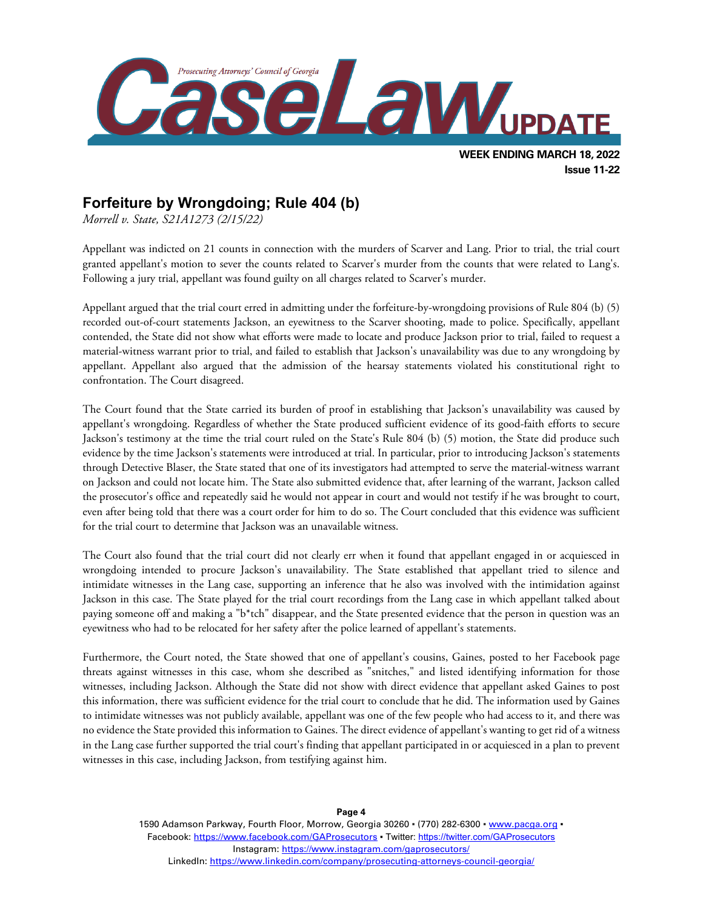

### **Forfeiture by Wrongdoing; Rule 404 (b)**

*Morrell v. State, S21A1273 (2/15/22)*

Appellant was indicted on 21 counts in connection with the murders of Scarver and Lang. Prior to trial, the trial court granted appellant's motion to sever the counts related to Scarver's murder from the counts that were related to Lang's. Following a jury trial, appellant was found guilty on all charges related to Scarver's murder.

Appellant argued that the trial court erred in admitting under the forfeiture-by-wrongdoing provisions of Rule 804 (b) (5) recorded out-of-court statements Jackson, an eyewitness to the Scarver shooting, made to police. Specifically, appellant contended, the State did not show what efforts were made to locate and produce Jackson prior to trial, failed to request a material-witness warrant prior to trial, and failed to establish that Jackson's unavailability was due to any wrongdoing by appellant. Appellant also argued that the admission of the hearsay statements violated his constitutional right to confrontation. The Court disagreed.

The Court found that the State carried its burden of proof in establishing that Jackson's unavailability was caused by appellant's wrongdoing. Regardless of whether the State produced sufficient evidence of its good-faith efforts to secure Jackson's testimony at the time the trial court ruled on the State's Rule 804 (b) (5) motion, the State did produce such evidence by the time Jackson's statements were introduced at trial. In particular, prior to introducing Jackson's statements through Detective Blaser, the State stated that one of its investigators had attempted to serve the material-witness warrant on Jackson and could not locate him. The State also submitted evidence that, after learning of the warrant, Jackson called the prosecutor's office and repeatedly said he would not appear in court and would not testify if he was brought to court, even after being told that there was a court order for him to do so. The Court concluded that this evidence was sufficient for the trial court to determine that Jackson was an unavailable witness.

The Court also found that the trial court did not clearly err when it found that appellant engaged in or acquiesced in wrongdoing intended to procure Jackson's unavailability. The State established that appellant tried to silence and intimidate witnesses in the Lang case, supporting an inference that he also was involved with the intimidation against Jackson in this case. The State played for the trial court recordings from the Lang case in which appellant talked about paying someone off and making a "b\*tch" disappear, and the State presented evidence that the person in question was an eyewitness who had to be relocated for her safety after the police learned of appellant's statements.

Furthermore, the Court noted, the State showed that one of appellant's cousins, Gaines, posted to her Facebook page threats against witnesses in this case, whom she described as "snitches," and listed identifying information for those witnesses, including Jackson. Although the State did not show with direct evidence that appellant asked Gaines to post this information, there was sufficient evidence for the trial court to conclude that he did. The information used by Gaines to intimidate witnesses was not publicly available, appellant was one of the few people who had access to it, and there was no evidence the State provided this information to Gaines. The direct evidence of appellant's wanting to get rid of a witness in the Lang case further supported the trial court's finding that appellant participated in or acquiesced in a plan to prevent witnesses in this case, including Jackson, from testifying against him.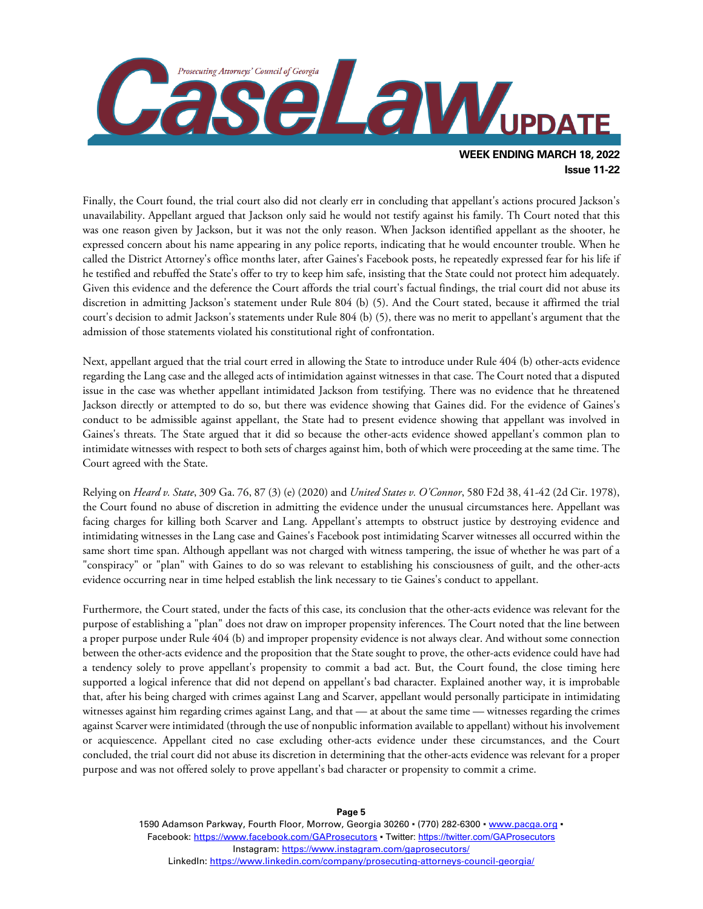

Finally, the Court found, the trial court also did not clearly err in concluding that appellant's actions procured Jackson's unavailability. Appellant argued that Jackson only said he would not testify against his family. Th Court noted that this was one reason given by Jackson, but it was not the only reason. When Jackson identified appellant as the shooter, he expressed concern about his name appearing in any police reports, indicating that he would encounter trouble. When he called the District Attorney's office months later, after Gaines's Facebook posts, he repeatedly expressed fear for his life if he testified and rebuffed the State's offer to try to keep him safe, insisting that the State could not protect him adequately. Given this evidence and the deference the Court affords the trial court's factual findings, the trial court did not abuse its discretion in admitting Jackson's statement under Rule 804 (b) (5). And the Court stated, because it affirmed the trial court's decision to admit Jackson's statements under Rule 804 (b) (5), there was no merit to appellant's argument that the admission of those statements violated his constitutional right of confrontation.

Next, appellant argued that the trial court erred in allowing the State to introduce under Rule 404 (b) other-acts evidence regarding the Lang case and the alleged acts of intimidation against witnesses in that case. The Court noted that a disputed issue in the case was whether appellant intimidated Jackson from testifying. There was no evidence that he threatened Jackson directly or attempted to do so, but there was evidence showing that Gaines did. For the evidence of Gaines's conduct to be admissible against appellant, the State had to present evidence showing that appellant was involved in Gaines's threats. The State argued that it did so because the other-acts evidence showed appellant's common plan to intimidate witnesses with respect to both sets of charges against him, both of which were proceeding at the same time. The Court agreed with the State.

Relying on *Heard v. State*, 309 Ga. 76, 87 (3) (e) (2020) and *United States v. O'Connor*, 580 F2d 38, 41-42 (2d Cir. 1978), the Court found no abuse of discretion in admitting the evidence under the unusual circumstances here. Appellant was facing charges for killing both Scarver and Lang. Appellant's attempts to obstruct justice by destroying evidence and intimidating witnesses in the Lang case and Gaines's Facebook post intimidating Scarver witnesses all occurred within the same short time span. Although appellant was not charged with witness tampering, the issue of whether he was part of a "conspiracy" or "plan" with Gaines to do so was relevant to establishing his consciousness of guilt, and the other-acts evidence occurring near in time helped establish the link necessary to tie Gaines's conduct to appellant.

Furthermore, the Court stated, under the facts of this case, its conclusion that the other-acts evidence was relevant for the purpose of establishing a "plan" does not draw on improper propensity inferences. The Court noted that the line between a proper purpose under Rule 404 (b) and improper propensity evidence is not always clear. And without some connection between the other-acts evidence and the proposition that the State sought to prove, the other-acts evidence could have had a tendency solely to prove appellant's propensity to commit a bad act. But, the Court found, the close timing here supported a logical inference that did not depend on appellant's bad character. Explained another way, it is improbable that, after his being charged with crimes against Lang and Scarver, appellant would personally participate in intimidating witnesses against him regarding crimes against Lang, and that — at about the same time — witnesses regarding the crimes against Scarver were intimidated (through the use of nonpublic information available to appellant) without his involvement or acquiescence. Appellant cited no case excluding other-acts evidence under these circumstances, and the Court concluded, the trial court did not abuse its discretion in determining that the other-acts evidence was relevant for a proper purpose and was not offered solely to prove appellant's bad character or propensity to commit a crime.

1590 Adamson Parkway, Fourth Floor, Morrow, Georgia 30260 · (770) 282-6300 · [www.pacga.org](http://www.pacga.org/) · Facebook:<https://www.facebook.com/GAProsecutors> . Twitter[: https://twitter.com/GAProsecutors](https://twitter.com/GAProsecutors) Instagram[: https://www.instagram.com/gaprosecutors/](https://www.instagram.com/gaprosecutors/) LinkedIn:<https://www.linkedin.com/company/prosecuting-attorneys-council-georgia/>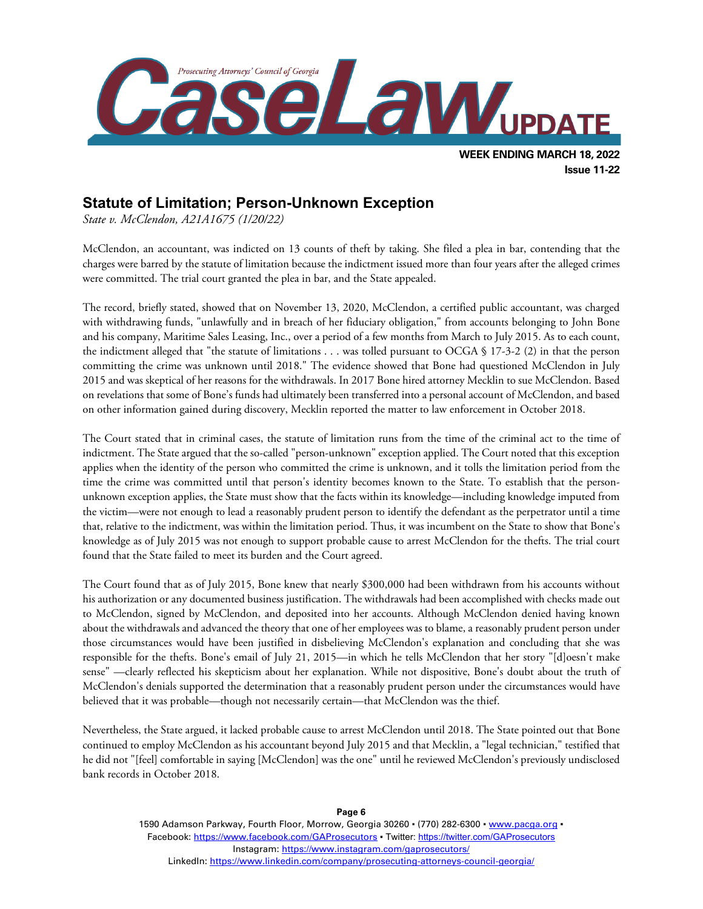

### **Statute of Limitation; Person-Unknown Exception**

*State v. McClendon, A21A1675 (1/20/22)*

McClendon, an accountant, was indicted on 13 counts of theft by taking. She filed a plea in bar, contending that the charges were barred by the statute of limitation because the indictment issued more than four years after the alleged crimes were committed. The trial court granted the plea in bar, and the State appealed.

The record, briefly stated, showed that on November 13, 2020, McClendon, a certified public accountant, was charged with withdrawing funds, "unlawfully and in breach of her fiduciary obligation," from accounts belonging to John Bone and his company, Maritime Sales Leasing, Inc., over a period of a few months from March to July 2015. As to each count, the indictment alleged that "the statute of limitations . . . was tolled pursuant to OCGA § 17-3-2 (2) in that the person committing the crime was unknown until 2018." The evidence showed that Bone had questioned McClendon in July 2015 and was skeptical of her reasons for the withdrawals. In 2017 Bone hired attorney Mecklin to sue McClendon. Based on revelations that some of Bone's funds had ultimately been transferred into a personal account of McClendon, and based on other information gained during discovery, Mecklin reported the matter to law enforcement in October 2018.

The Court stated that in criminal cases, the statute of limitation runs from the time of the criminal act to the time of indictment. The State argued that the so-called "person-unknown" exception applied. The Court noted that this exception applies when the identity of the person who committed the crime is unknown, and it tolls the limitation period from the time the crime was committed until that person's identity becomes known to the State. To establish that the personunknown exception applies, the State must show that the facts within its knowledge—including knowledge imputed from the victim—were not enough to lead a reasonably prudent person to identify the defendant as the perpetrator until a time that, relative to the indictment, was within the limitation period. Thus, it was incumbent on the State to show that Bone's knowledge as of July 2015 was not enough to support probable cause to arrest McClendon for the thefts. The trial court found that the State failed to meet its burden and the Court agreed.

The Court found that as of July 2015, Bone knew that nearly \$300,000 had been withdrawn from his accounts without his authorization or any documented business justification. The withdrawals had been accomplished with checks made out to McClendon, signed by McClendon, and deposited into her accounts. Although McClendon denied having known about the withdrawals and advanced the theory that one of her employees was to blame, a reasonably prudent person under those circumstances would have been justified in disbelieving McClendon's explanation and concluding that she was responsible for the thefts. Bone's email of July 21, 2015—in which he tells McClendon that her story "[d]oesn't make sense" —clearly reflected his skepticism about her explanation. While not dispositive, Bone's doubt about the truth of McClendon's denials supported the determination that a reasonably prudent person under the circumstances would have believed that it was probable—though not necessarily certain—that McClendon was the thief.

Nevertheless, the State argued, it lacked probable cause to arrest McClendon until 2018. The State pointed out that Bone continued to employ McClendon as his accountant beyond July 2015 and that Mecklin, a "legal technician," testified that he did not "[feel] comfortable in saying [McClendon] was the one" until he reviewed McClendon's previously undisclosed bank records in October 2018.

> 1590 Adamson Parkway, Fourth Floor, Morrow, Georgia 30260 · (770) 282-6300 · www.pacqa.org · Facebook:<https://www.facebook.com/GAProsecutors> . Twitter[: https://twitter.com/GAProsecutors](https://twitter.com/GAProsecutors) Instagram[: https://www.instagram.com/gaprosecutors/](https://www.instagram.com/gaprosecutors/) LinkedIn:<https://www.linkedin.com/company/prosecuting-attorneys-council-georgia/>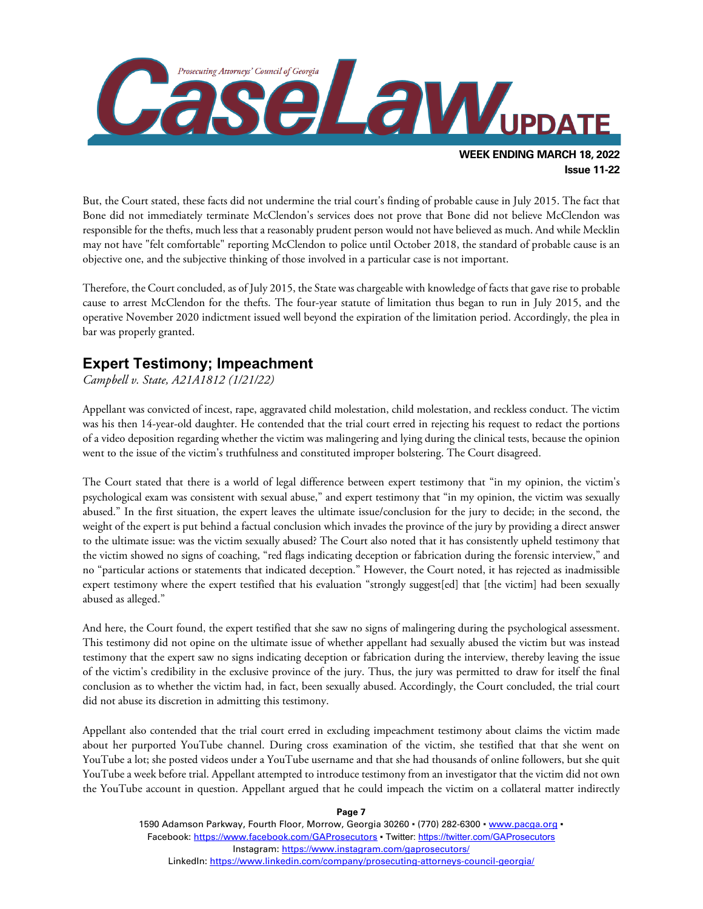

But, the Court stated, these facts did not undermine the trial court's finding of probable cause in July 2015. The fact that Bone did not immediately terminate McClendon's services does not prove that Bone did not believe McClendon was responsible for the thefts, much less that a reasonably prudent person would not have believed as much. And while Mecklin may not have "felt comfortable" reporting McClendon to police until October 2018, the standard of probable cause is an objective one, and the subjective thinking of those involved in a particular case is not important.

Therefore, the Court concluded, as of July 2015, the State was chargeable with knowledge of facts that gave rise to probable cause to arrest McClendon for the thefts. The four-year statute of limitation thus began to run in July 2015, and the operative November 2020 indictment issued well beyond the expiration of the limitation period. Accordingly, the plea in bar was properly granted.

## **Expert Testimony; Impeachment**

*Campbell v. State, A21A1812 (1/21/22)*

Appellant was convicted of incest, rape, aggravated child molestation, child molestation, and reckless conduct. The victim was his then 14-year-old daughter. He contended that the trial court erred in rejecting his request to redact the portions of a video deposition regarding whether the victim was malingering and lying during the clinical tests, because the opinion went to the issue of the victim's truthfulness and constituted improper bolstering. The Court disagreed.

The Court stated that there is a world of legal difference between expert testimony that "in my opinion, the victim's psychological exam was consistent with sexual abuse," and expert testimony that "in my opinion, the victim was sexually abused." In the first situation, the expert leaves the ultimate issue/conclusion for the jury to decide; in the second, the weight of the expert is put behind a factual conclusion which invades the province of the jury by providing a direct answer to the ultimate issue: was the victim sexually abused? The Court also noted that it has consistently upheld testimony that the victim showed no signs of coaching, "red flags indicating deception or fabrication during the forensic interview," and no "particular actions or statements that indicated deception." However, the Court noted, it has rejected as inadmissible expert testimony where the expert testified that his evaluation "strongly suggest[ed] that [the victim] had been sexually abused as alleged."

And here, the Court found, the expert testified that she saw no signs of malingering during the psychological assessment. This testimony did not opine on the ultimate issue of whether appellant had sexually abused the victim but was instead testimony that the expert saw no signs indicating deception or fabrication during the interview, thereby leaving the issue of the victim's credibility in the exclusive province of the jury. Thus, the jury was permitted to draw for itself the final conclusion as to whether the victim had, in fact, been sexually abused. Accordingly, the Court concluded, the trial court did not abuse its discretion in admitting this testimony.

Appellant also contended that the trial court erred in excluding impeachment testimony about claims the victim made about her purported YouTube channel. During cross examination of the victim, she testified that that she went on YouTube a lot; she posted videos under a YouTube username and that she had thousands of online followers, but she quit YouTube a week before trial. Appellant attempted to introduce testimony from an investigator that the victim did not own the YouTube account in question. Appellant argued that he could impeach the victim on a collateral matter indirectly